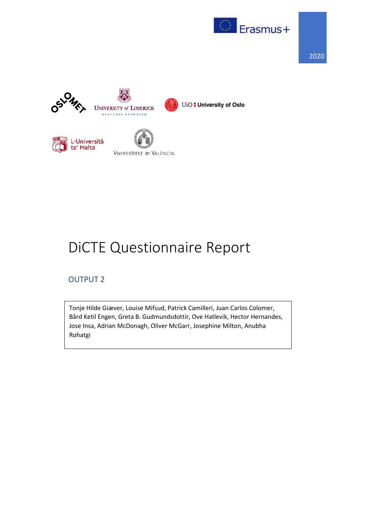







UiO: University of Oslo





## DiCTE Questionnaire Report

## OUTPUT 2

Tonje Hilde Giæver, Louise Mifsud, Patrick Camilleri, Juan Carlos Colomer, Bård Ketil Engen, Greta B. Gudmundsdottir, Ove Hatlevik, Hector Hernandes, Jose Insa, Adrian McDonagh, Oliver McGarr, Josephine Milton, Anubha Rohatgi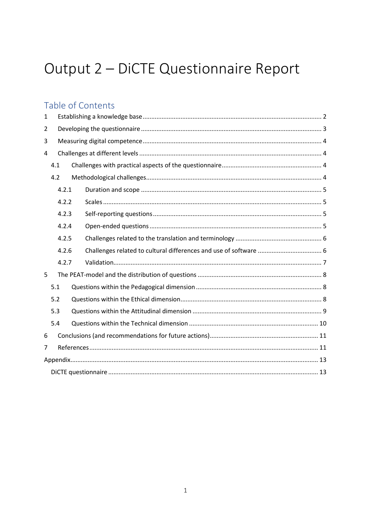# Output 2 - DiCTE Questionnaire Report

## Table of Contents

| 1              |       |  |  |  |  |  |  |  |  |  |
|----------------|-------|--|--|--|--|--|--|--|--|--|
| $\overline{2}$ |       |  |  |  |  |  |  |  |  |  |
| 3              |       |  |  |  |  |  |  |  |  |  |
| 4              |       |  |  |  |  |  |  |  |  |  |
|                | 4.1   |  |  |  |  |  |  |  |  |  |
|                | 4.2   |  |  |  |  |  |  |  |  |  |
|                | 4.2.1 |  |  |  |  |  |  |  |  |  |
|                | 4.2.2 |  |  |  |  |  |  |  |  |  |
|                | 4.2.3 |  |  |  |  |  |  |  |  |  |
|                | 4.2.4 |  |  |  |  |  |  |  |  |  |
|                | 4.2.5 |  |  |  |  |  |  |  |  |  |
|                | 4.2.6 |  |  |  |  |  |  |  |  |  |
|                | 4.2.7 |  |  |  |  |  |  |  |  |  |
| 5              |       |  |  |  |  |  |  |  |  |  |
|                | 5.1   |  |  |  |  |  |  |  |  |  |
|                | 5.2   |  |  |  |  |  |  |  |  |  |
|                | 5.3   |  |  |  |  |  |  |  |  |  |
|                | 5.4   |  |  |  |  |  |  |  |  |  |
| 6              |       |  |  |  |  |  |  |  |  |  |
| $\overline{7}$ |       |  |  |  |  |  |  |  |  |  |
|                |       |  |  |  |  |  |  |  |  |  |
|                |       |  |  |  |  |  |  |  |  |  |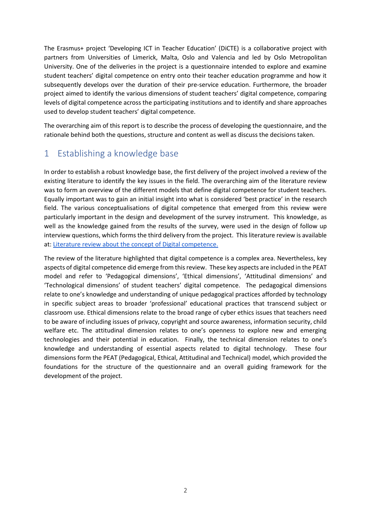The Erasmus+ project 'Developing ICT in Teacher Education' (DiCTE) is a collaborative project with partners from Universities of Limerick, Malta, Oslo and Valencia and led by Oslo Metropolitan University. One of the deliveries in the project is a questionnaire intended to explore and examine student teachers' digital competence on entry onto their teacher education programme and how it subsequently develops over the duration of their pre-service education. Furthermore, the broader project aimed to identify the various dimensions of student teachers' digital competence, comparing levels of digital competence across the participating institutions and to identify and share approaches used to develop student teachers' digital competence.

The overarching aim of this report is to describe the process of developing the questionnaire, and the rationale behind both the questions, structure and content as well as discuss the decisions taken.

## <span id="page-2-0"></span>1 Establishing a knowledge base

In order to establish a robust knowledge base, the first delivery of the project involved a review of the existing literature to identify the key issues in the field. The overarching aim of the literature review was to form an overview of the different models that define digital competence for student teachers. Equally important was to gain an initial insight into what is considered 'best practice' in the research field. The various conceptualisations of digital competence that emerged from this review were particularly important in the design and development of the survey instrument. This knowledge, as well as the knowledge gained from the results of the survey, were used in the design of follow up interview questions, which forms the third delivery from the project. This literature review is available at: [Literature review about the concept of Digital competence.](https://dicte.oslomet.no/wp-content/uploads/2019/03/DICTE-Digital-Competence-in-Teacher-Ed.-literature-review.pdf)

The review of the literature highlighted that digital competence is a complex area. Nevertheless, key aspects of digital competence did emerge from this review. These key aspects are included in the PEAT model and refer to 'Pedagogical dimensions', 'Ethical dimensions', 'Attitudinal dimensions' and 'Technological dimensions' of student teachers' digital competence. The pedagogical dimensions relate to one's knowledge and understanding of unique pedagogical practices afforded by technology in specific subject areas to broader 'professional' educational practices that transcend subject or classroom use. Ethical dimensions relate to the broad range of cyber ethics issues that teachers need to be aware of including issues of privacy, copyright and source awareness, information security, child welfare etc. The attitudinal dimension relates to one's openness to explore new and emerging technologies and their potential in education. Finally, the technical dimension relates to one's knowledge and understanding of essential aspects related to digital technology. These four dimensions form the PEAT (Pedagogical, Ethical, Attitudinal and Technical) model, which provided the foundations for the structure of the questionnaire and an overall guiding framework for the development of the project.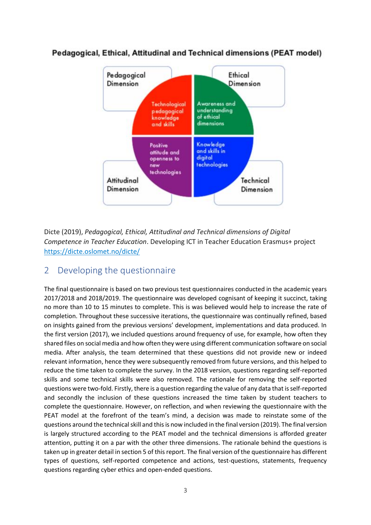

#### Pedagogical, Ethical, Attitudinal and Technical dimensions (PEAT model)

Dicte (2019), *Pedagogical, Ethical, Attitudinal and Technical dimensions of Digital Competence in Teacher Education*. Developing ICT in Teacher Education Erasmus+ project [https://dicte.oslomet.no/dicte/](https://dicte.oslomet.no/?p=141)

## <span id="page-3-0"></span>2 Developing the questionnaire

The final questionnaire is based on two previous test questionnaires conducted in the academic years 2017/2018 and 2018/2019. The questionnaire was developed cognisant of keeping it succinct, taking no more than 10 to 15 minutes to complete. This is was believed would help to increase the rate of completion. Throughout these successive iterations, the questionnaire was continually refined, based on insights gained from the previous versions' development, implementations and data produced. In the first version (2017), we included questions around frequency of use, for example, how often they shared files on social media and how often they were using different communication software on social media. After analysis, the team determined that these questions did not provide new or indeed relevant information, hence they were subsequently removed from future versions, and this helped to reduce the time taken to complete the survey. In the 2018 version, questions regarding self-reported skills and some technical skills were also removed. The rationale for removing the self-reported questions were two-fold. Firstly, there is a question regarding the value of any data that is self-reported and secondly the inclusion of these questions increased the time taken by student teachers to complete the questionnaire. However, on reflection, and when reviewing the questionnaire with the PEAT model at the forefront of the team's mind, a decision was made to reinstate some of the questions around the technical skill and this is now included in the final version (2019). The final version is largely structured according to the PEAT model and the technical dimensions is afforded greater attention, putting it on a par with the other three dimensions. The rationale behind the questions is taken up in greater detail in section 5 of this report. The final version of the questionnaire has different types of questions, self-reported competence and actions, test-questions, statements, frequency questions regarding cyber ethics and open-ended questions.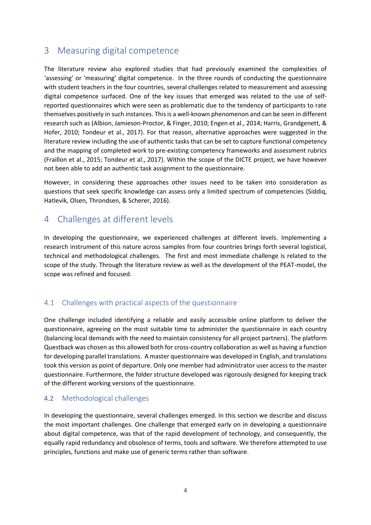## <span id="page-4-0"></span>3 Measuring digital competence

The literature review also explored studies that had previously examined the complexities of 'assessing' or 'measuring' digital competence. In the three rounds of conducting the questionnaire with student teachers in the four countries, several challenges related to measurement and assessing digital competence surfaced. One of the key issues that emerged was related to the use of selfreported questionnaires which were seen as problematic due to the tendency of participants to rate themselves positively in such instances. This is a well-known phenomenon and can be seen in different research such as (Albion, Jamieson-Proctor, & Finger, 2010; Engen et al., 2014; Harris, Grandgenett, & Hofer, 2010; Tondeur et al., 2017). For that reason, alternative approaches were suggested in the literature review including the use of authentic tasks that can be set to capture functional competency and the mapping of completed work to pre-existing competency frameworks and assessment rubrics (Fraillon et al., 2015; Tondeur et al., 2017). Within the scope of the DICTE project, we have however not been able to add an authentic task assignment to the questionnaire.

However, in considering these approaches other issues need to be taken into consideration as questions that seek specific knowledge can assess only a limited spectrum of competencies (Siddiq, Hatlevik, Olsen, Throndsen, & Scherer, 2016).

## <span id="page-4-1"></span>4 Challenges at different levels

In developing the questionnaire, we experienced challenges at different levels. Implementing a research instrument of this nature across samples from four countries brings forth several logistical, technical and methodological challenges. The first and most immediate challenge is related to the scope of the study. Through the literature review as well as the development of the PEAT-model, the scope was refined and focused.

#### <span id="page-4-2"></span>4.1 Challenges with practical aspects of the questionnaire

One challenge included identifying a reliable and easily accessible online platform to deliver the questionnaire, agreeing on the most suitable time to administer the questionnaire in each country (balancing local demands with the need to maintain consistency for all project partners). The platform Questback was chosen as this allowed both for cross-country collaboration as well as having a function for developing parallel translations. A master questionnaire was developed in English, and translations took this version as point of departure. Only one member had administrator user access to the master questionnaire. Furthermore, the folder structure developed was rigorously designed for keeping track of the different working versions of the questionnaire.

#### <span id="page-4-3"></span>4.2 Methodological challenges

In developing the questionnaire, several challenges emerged. In this section we describe and discuss the most important challenges. One challenge that emerged early on in developing a questionnaire about digital competence, was that of the rapid development of technology, and consequently, the equally rapid redundancy and obsolesce of terms, tools and software. We therefore attempted to use principles, functions and make use of generic terms rather than software.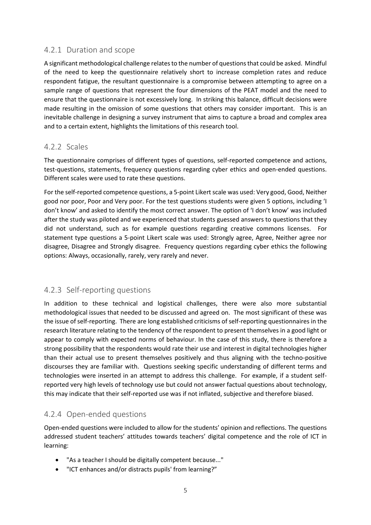#### <span id="page-5-0"></span>4.2.1 Duration and scope

A significant methodological challenge relatesto the number of questions that could be asked. Mindful of the need to keep the questionnaire relatively short to increase completion rates and reduce respondent fatigue, the resultant questionnaire is a compromise between attempting to agree on a sample range of questions that represent the four dimensions of the PEAT model and the need to ensure that the questionnaire is not excessively long. In striking this balance, difficult decisions were made resulting in the omission of some questions that others may consider important. This is an inevitable challenge in designing a survey instrument that aims to capture a broad and complex area and to a certain extent, highlights the limitations of this research tool.

#### <span id="page-5-1"></span>4.2.2 Scales

The questionnaire comprises of different types of questions, self-reported competence and actions, test-questions, statements, frequency questions regarding cyber ethics and open-ended questions. Different scales were used to rate these questions.

For the self-reported competence questions, a 5-point Likert scale was used: Very good, Good, Neither good nor poor, Poor and Very poor. For the test questions students were given 5 options, including 'I don't know' and asked to identify the most correct answer. The option of 'I don't know' was included after the study was piloted and we experienced that students guessed answers to questions that they did not understand, such as for example questions regarding creative commons licenses. For statement type questions a 5-point Likert scale was used: Strongly agree, Agree, Neither agree nor disagree, Disagree and Strongly disagree. Frequency questions regarding cyber ethics the following options: Always, occasionally, rarely, very rarely and never.

#### <span id="page-5-2"></span>4.2.3 Self-reporting questions

In addition to these technical and logistical challenges, there were also more substantial methodological issues that needed to be discussed and agreed on. The most significant of these was the issue of self-reporting. There are long established criticisms of self-reporting questionnaires in the research literature relating to the tendency of the respondent to present themselves in a good light or appear to comply with expected norms of behaviour. In the case of this study, there is therefore a strong possibility that the respondents would rate their use and interest in digital technologies higher than their actual use to present themselves positively and thus aligning with the techno-positive discourses they are familiar with. Questions seeking specific understanding of different terms and technologies were inserted in an attempt to address this challenge. For example, if a student selfreported very high levels of technology use but could not answer factual questions about technology, this may indicate that their self-reported use was if not inflated, subjective and therefore biased.

#### <span id="page-5-3"></span>4.2.4 Open-ended questions

Open-ended questions were included to allow for the students' opinion and reflections. The questions addressed student teachers' attitudes towards teachers' digital competence and the role of ICT in learning:

- "As a teacher I should be digitally competent because..."
- "ICT enhances and/or distracts pupils' from learning?"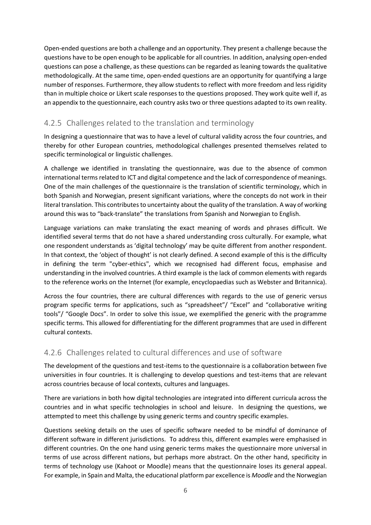Open-ended questions are both a challenge and an opportunity. They present a challenge because the questions have to be open enough to be applicable for all countries. In addition, analysing open-ended questions can pose a challenge, as these questions can be regarded as leaning towards the qualitative methodologically. At the same time, open-ended questions are an opportunity for quantifying a large number of responses. Furthermore, they allow students to reflect with more freedom and less rigidity than in multiple choice or Likert scale responses to the questions proposed. They work quite well if, as an appendix to the questionnaire, each country asks two or three questions adapted to its own reality.

#### <span id="page-6-0"></span>4.2.5 Challenges related to the translation and terminology

In designing a questionnaire that was to have a level of cultural validity across the four countries, and thereby for other European countries, methodological challenges presented themselves related to specific terminological or linguistic challenges.

A challenge we identified in translating the questionnaire, was due to the absence of common international terms related to ICT and digital competence and the lack of correspondence of meanings. One of the main challenges of the questionnaire is the translation of scientific terminology, which in both Spanish and Norwegian, present significant variations, where the concepts do not work in their literal translation. This contributes to uncertainty about the quality of the translation. A way of working around this was to "back-translate" the translations from Spanish and Norwegian to English.

Language variations can make translating the exact meaning of words and phrases difficult. We identified several terms that do not have a shared understanding cross culturally. For example, what one respondent understands as 'digital technology' may be quite different from another respondent. In that context, the 'object of thought' is not clearly defined. A second example of this is the difficulty in defining the term "cyber-ethics", which we recognised had different focus, emphasise and understanding in the involved countries. A third example is the lack of common elements with regards to the reference works on the Internet (for example, encyclopaedias such as Webster and Britannica).

Across the four countries, there are cultural differences with regards to the use of generic versus program specific terms for applications, such as "spreadsheet"/ "Excel" and "collaborative writing tools"/ "Google Docs". In order to solve this issue, we exemplified the generic with the programme specific terms. This allowed for differentiating for the different programmes that are used in different cultural contexts.

#### <span id="page-6-1"></span>4.2.6 Challenges related to cultural differences and use of software

The development of the questions and test-items to the questionnaire is a collaboration between five universities in four countries. It is challenging to develop questions and test-items that are relevant across countries because of local contexts, cultures and languages.

There are variations in both how digital technologies are integrated into different curricula across the countries and in what specific technologies in school and leisure. In designing the questions, we attempted to meet this challenge by using generic terms and country specific examples.

Questions seeking details on the uses of specific software needed to be mindful of dominance of different software in different jurisdictions. To address this, different examples were emphasised in different countries. On the one hand using generic terms makes the questionnaire more universal in terms of use across different nations, but perhaps more abstract. On the other hand, specificity in terms of technology use (Kahoot or Moodle) means that the questionnaire loses its general appeal. For example, in Spain and Malta, the educational platform par excellence is *Moodle* and the Norwegian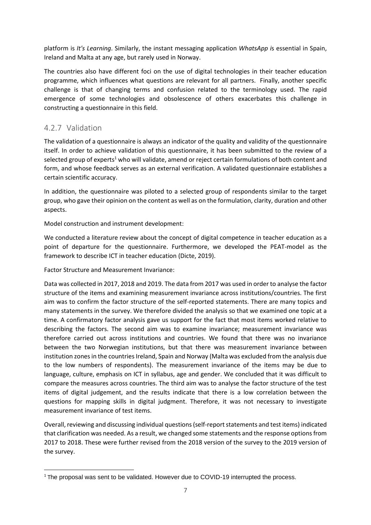platform is *It's Learning*. Similarly, the instant messaging application *WhatsApp i*s essential in Spain, Ireland and Malta at any age, but rarely used in Norway.

The countries also have different foci on the use of digital technologies in their teacher education programme, which influences what questions are relevant for all partners. Finally, another specific challenge is that of changing terms and confusion related to the terminology used. The rapid emergence of some technologies and obsolescence of others exacerbates this challenge in constructing a questionnaire in this field.

#### <span id="page-7-0"></span>4.2.7 Validation

The validation of a questionnaire is always an indicator of the quality and validity of the questionnaire itself. In order to achieve validation of this questionnaire, it has been submitted to the review of a selected group of experts<sup>1</sup> who will validate, amend or reject certain formulations of both content and form, and whose feedback serves as an external verification. A validated questionnaire establishes a certain scientific accuracy.

In addition, the questionnaire was piloted to a selected group of respondents similar to the target group, who gave their opinion on the content as well as on the formulation, clarity, duration and other aspects.

Model construction and instrument development:

We conducted a literature review about the concept of digital competence in teacher education as a point of departure for the questionnaire. Furthermore, we developed the PEAT-model as the framework to describe ICT in teacher education (Dicte, 2019).

Factor Structure and Measurement Invariance:

Data was collected in 2017, 2018 and 2019. The data from 2017 was used in order to analyse the factor structure of the items and examining measurement invariance across institutions/countries. The first aim was to confirm the factor structure of the self-reported statements. There are many topics and many statements in the survey. We therefore divided the analysis so that we examined one topic at a time. A confirmatory factor analysis gave us support for the fact that most items worked relative to describing the factors. The second aim was to examine invariance; measurement invariance was therefore carried out across institutions and countries. We found that there was no invariance between the two Norwegian institutions, but that there was measurement invariance between institution zones in the countries Ireland, Spain and Norway (Malta was excluded from the analysis due to the low numbers of respondents). The measurement invariance of the items may be due to language, culture, emphasis on ICT in syllabus, age and gender. We concluded that it was difficult to compare the measures across countries. The third aim was to analyse the factor structure of the test items of digital judgement, and the results indicate that there is a low correlation between the questions for mapping skills in digital judgment. Therefore, it was not necessary to investigate measurement invariance of test items.

Overall, reviewing and discussing individual questions (self-report statements and test items) indicated that clarification was needed. As a result, we changed some statements and the response options from 2017 to 2018. These were further revised from the 2018 version of the survey to the 2019 version of the survey.

<sup>&</sup>lt;sup>1</sup> The proposal was sent to be validated. However due to COVID-19 interrupted the process.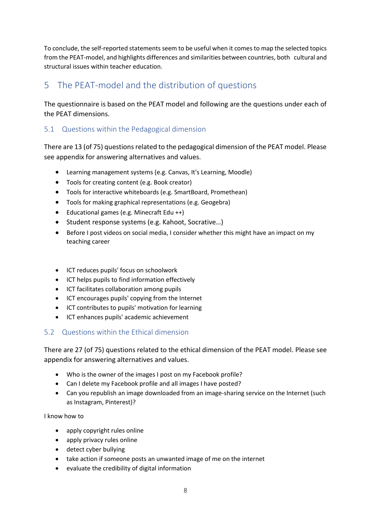To conclude, the self-reported statements seem to be useful when it comes to map the selected topics from the PEAT-model, and highlights differences and similarities between countries, both cultural and structural issues within teacher education.

## <span id="page-8-0"></span>5 The PEAT-model and the distribution of questions

The questionnaire is based on the PEAT model and following are the questions under each of the PEAT dimensions.

#### <span id="page-8-1"></span>5.1 Questions within the Pedagogical dimension

There are 13 (of 75) questions related to the pedagogical dimension of the PEAT model. Please see appendix for answering alternatives and values.

- Learning management systems (e.g. Canvas, It's Learning, Moodle)
- Tools for creating content (e.g. Book creator)
- Tools for interactive whiteboards (e.g. SmartBoard, Promethean)
- Tools for making graphical representations (e.g. Geogebra)
- Educational games (e.g. Minecraft Edu ++)
- Student response systems (e.g. Kahoot, Socrative…)
- Before I post videos on social media, I consider whether this might have an impact on my teaching career
- ICT reduces pupils' focus on schoolwork
- ICT helps pupils to find information effectively
- ICT facilitates collaboration among pupils
- ICT encourages pupils' copying from the Internet
- ICT contributes to pupils' motivation for learning
- ICT enhances pupils' academic achievement

#### <span id="page-8-2"></span>5.2 Questions within the Ethical dimension

There are 27 (of 75) questions related to the ethical dimension of the PEAT model. Please see appendix for answering alternatives and values.

- Who is the owner of the images I post on my Facebook profile?
- Can I delete my Facebook profile and all images I have posted?
- Can you republish an image downloaded from an image-sharing service on the Internet (such as Instagram, Pinterest)?

I know how to

- apply copyright rules online
- apply privacy rules online
- detect cyber bullying
- take action if someone posts an unwanted image of me on the internet
- evaluate the credibility of digital information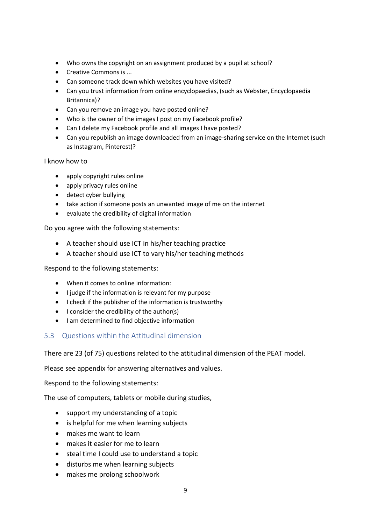- Who owns the copyright on an assignment produced by a pupil at school?
- Creative Commons is ...
- Can someone track down which websites you have visited?
- Can you trust information from online encyclopaedias, (such as Webster, Encyclopaedia Britannica)?
- Can you remove an image you have posted online?
- Who is the owner of the images I post on my Facebook profile?
- Can I delete my Facebook profile and all images I have posted?
- Can you republish an image downloaded from an image-sharing service on the Internet (such as Instagram, Pinterest)?

I know how to

- apply copyright rules online
- apply privacy rules online
- detect cyber bullying
- take action if someone posts an unwanted image of me on the internet
- evaluate the credibility of digital information

Do you agree with the following statements:

- A teacher should use ICT in his/her teaching practice
- A teacher should use ICT to vary his/her teaching methods

Respond to the following statements:

- When it comes to online information:
- I judge if the information is relevant for my purpose
- I check if the publisher of the information is trustworthy
- I consider the credibility of the author(s)
- I am determined to find objective information

#### <span id="page-9-0"></span>5.3 Questions within the Attitudinal dimension

There are 23 (of 75) questions related to the attitudinal dimension of the PEAT model.

Please see appendix for answering alternatives and values.

Respond to the following statements:

The use of computers, tablets or mobile during studies,

- support my understanding of a topic
- is helpful for me when learning subjects
- makes me want to learn
- makes it easier for me to learn
- steal time I could use to understand a topic
- disturbs me when learning subjects
- makes me prolong schoolwork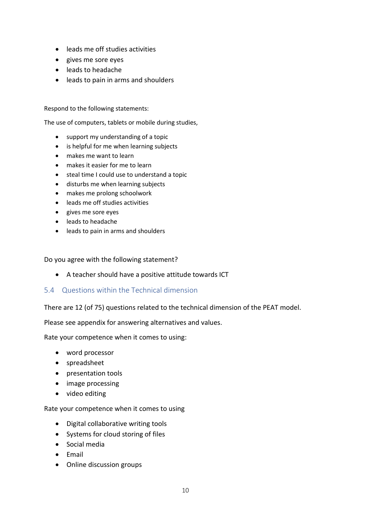- leads me off studies activities
- gives me sore eyes
- leads to headache
- leads to pain in arms and shoulders

Respond to the following statements:

The use of computers, tablets or mobile during studies,

- support my understanding of a topic
- is helpful for me when learning subjects
- makes me want to learn
- makes it easier for me to learn
- steal time I could use to understand a topic
- disturbs me when learning subjects
- makes me prolong schoolwork
- leads me off studies activities
- gives me sore eyes
- leads to headache
- leads to pain in arms and shoulders

Do you agree with the following statement?

- A teacher should have a positive attitude towards ICT
- <span id="page-10-0"></span>5.4 Questions within the Technical dimension

There are 12 (of 75) questions related to the technical dimension of the PEAT model.

Please see appendix for answering alternatives and values.

Rate your competence when it comes to using:

- word processor
- spreadsheet
- presentation tools
- image processing
- video editing

Rate your competence when it comes to using

- Digital collaborative writing tools
- Systems for cloud storing of files
- Social media
- Email
- Online discussion groups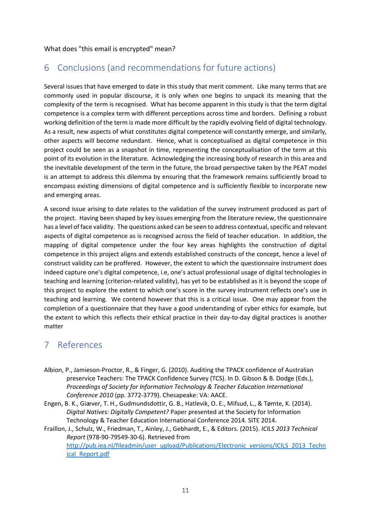## <span id="page-11-0"></span>6 Conclusions (and recommendations for future actions)

Several issues that have emerged to date in this study that merit comment. Like many terms that are commonly used in popular discourse, it is only when one begins to unpack its meaning that the complexity of the term is recognised. What has become apparent in this study is that the term digital competence is a complex term with different perceptions across time and borders. Defining a robust working definition of the term is made more difficult by the rapidly evolving field of digital technology. As a result, new aspects of what constitutes digital competence will constantly emerge, and similarly, other aspects will become redundant. Hence, what is conceptualised as digital competence in this project could be seen as a snapshot in time, representing the conceptualisation of the term at this point of its evolution in the literature. Acknowledging the increasing body of research in this area and the inevitable development of the term in the future, the broad perspective taken by the PEAT model is an attempt to address this dilemma by ensuring that the framework remains sufficiently broad to encompass existing dimensions of digital competence and is sufficiently flexible to incorporate new and emerging areas.

A second issue arising to date relates to the validation of the survey instrument produced as part of the project. Having been shaped by key issues emerging from the literature review, the questionnaire has a level of face validity. The questions asked can be seen to address contextual, specific and relevant aspects of digital competence as is recognised across the field of teacher education. In addition, the mapping of digital competence under the four key areas highlights the construction of digital competence in this project aligns and extends established constructs of the concept, hence a level of construct validity can be proffered. However, the extent to which the questionnaire instrument does indeed capture one's digital competence, i.e, one's actual professional usage of digital technologies in teaching and learning (criterion-related validity), has yet to be established as it is beyond the scope of this project to explore the extent to which one's score in the survey instrument reflects one's use in teaching and learning. We contend however that this is a critical issue. One may appear from the completion of a questionnaire that they have a good understanding of cyber ethics for example, but the extent to which this reflects their ethical practice in their day-to-day digital practices is another matter

## <span id="page-11-1"></span>7 References

- Albion, P., Jamieson-Proctor, R., & Finger, G. (2010). Auditing the TPACK confidence of Australian preservice Teachers: The TPACK Confidence Survey (TCS). In D. Gibson & B. Dodge (Eds.), *Proceedings of Society for Information Technology & Teacher Education International Conference 2010* (pp. 3772-3779). Chesapeake: VA: AACE.
- Engen, B. K., Giæver, T. H., Gudmundsdottir, G. B., Hatlevik, O. E., Mifsud, L., & Tømte, K. (2014). *Digital Natives: Digitally Competent?* Paper presented at the Society for Information Technology & Teacher Education International Conference 2014. SITE 2014.

Fraillon, J., Schulz, W., Friedman, T., Ainley, J., Gebhardt, E., & Editors. (2015). *ICILS 2013 Technical Report* (978-90-79549-30-6). Retrieved from [http://pub.iea.nl/fileadmin/user\\_upload/Publications/Electronic\\_versions/ICILS\\_2013\\_Techn](http://pub.iea.nl/fileadmin/user_upload/Publications/Electronic_versions/ICILS_2013_Technical_Report.pdf) [ical\\_Report.pdf](http://pub.iea.nl/fileadmin/user_upload/Publications/Electronic_versions/ICILS_2013_Technical_Report.pdf)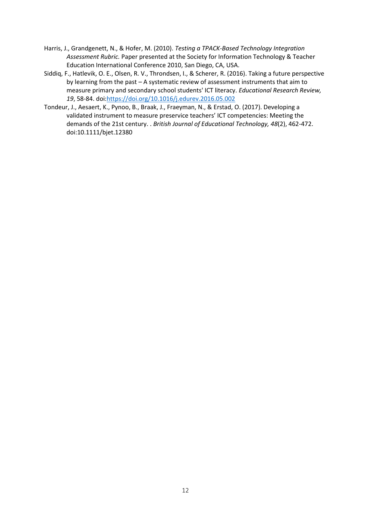- Harris, J., Grandgenett, N., & Hofer, M. (2010). *Testing a TPACK-Based Technology Integration Assessment Rubric.* Paper presented at the Society for Information Technology & Teacher Education International Conference 2010, San Diego, CA, USA.
- Siddiq, F., Hatlevik, O. E., Olsen, R. V., Throndsen, I., & Scherer, R. (2016). Taking a future perspective by learning from the past – A systematic review of assessment instruments that aim to measure primary and secondary school students' ICT literacy. *Educational Research Review, 19*, 58-84. doi[:https://doi.org/10.1016/j.edurev.2016.05.002](https://doi.org/10.1016/j.edurev.2016.05.002)
- Tondeur, J., Aesaert, K., Pynoo, B., Braak, J., Fraeyman, N., & Erstad, O. (2017). Developing a validated instrument to measure preservice teachers' ICT competencies: Meeting the demands of the 21st century. . *British Journal of Educational Technology, 48*(2), 462-472. doi:10.1111/bjet.12380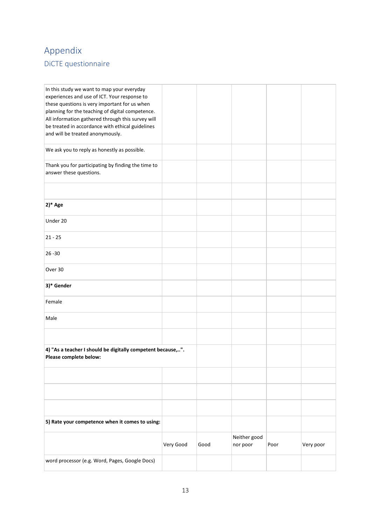## <span id="page-13-1"></span><span id="page-13-0"></span>Appendix DiCTE questionnaire

| In this study we want to map your everyday<br>experiences and use of ICT. Your response to<br>these questions is very important for us when<br>planning for the teaching of digital competence.<br>All information gathered through this survey will<br>be treated in accordance with ethical guidelines<br>and will be treated anonymously. |           |      |                          |      |           |
|----------------------------------------------------------------------------------------------------------------------------------------------------------------------------------------------------------------------------------------------------------------------------------------------------------------------------------------------|-----------|------|--------------------------|------|-----------|
| We ask you to reply as honestly as possible.                                                                                                                                                                                                                                                                                                 |           |      |                          |      |           |
| Thank you for participating by finding the time to<br>answer these questions.                                                                                                                                                                                                                                                                |           |      |                          |      |           |
|                                                                                                                                                                                                                                                                                                                                              |           |      |                          |      |           |
| $2)*$ Age                                                                                                                                                                                                                                                                                                                                    |           |      |                          |      |           |
| Under 20                                                                                                                                                                                                                                                                                                                                     |           |      |                          |      |           |
| $21 - 25$                                                                                                                                                                                                                                                                                                                                    |           |      |                          |      |           |
| $26 - 30$                                                                                                                                                                                                                                                                                                                                    |           |      |                          |      |           |
| Over 30                                                                                                                                                                                                                                                                                                                                      |           |      |                          |      |           |
| 3)* Gender                                                                                                                                                                                                                                                                                                                                   |           |      |                          |      |           |
| Female                                                                                                                                                                                                                                                                                                                                       |           |      |                          |      |           |
| Male                                                                                                                                                                                                                                                                                                                                         |           |      |                          |      |           |
|                                                                                                                                                                                                                                                                                                                                              |           |      |                          |      |           |
| 4) "As a teacher I should be digitally competent because,".<br>Please complete below:                                                                                                                                                                                                                                                        |           |      |                          |      |           |
|                                                                                                                                                                                                                                                                                                                                              |           |      |                          |      |           |
|                                                                                                                                                                                                                                                                                                                                              |           |      |                          |      |           |
|                                                                                                                                                                                                                                                                                                                                              |           |      |                          |      |           |
| 5) Rate your competence when it comes to using:                                                                                                                                                                                                                                                                                              |           |      |                          |      |           |
|                                                                                                                                                                                                                                                                                                                                              | Very Good | Good | Neither good<br>nor poor | Poor | Very poor |
| word processor (e.g. Word, Pages, Google Docs)                                                                                                                                                                                                                                                                                               |           |      |                          |      |           |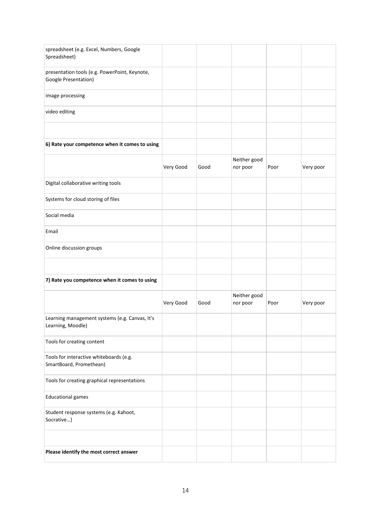| spreadsheet (e.g. Excel, Numbers, Google<br>Spreadsheet)              |           |      |                          |      |           |
|-----------------------------------------------------------------------|-----------|------|--------------------------|------|-----------|
| presentation tools (e.g. PowerPoint, Keynote,<br>Google Presentation) |           |      |                          |      |           |
| image processing                                                      |           |      |                          |      |           |
| video editing                                                         |           |      |                          |      |           |
|                                                                       |           |      |                          |      |           |
| 6) Rate your competence when it comes to using                        |           |      |                          |      |           |
|                                                                       | Very Good | Good | Neither good<br>nor poor | Poor | Very poor |
| Digital collaborative writing tools                                   |           |      |                          |      |           |
| Systems for cloud storing of files                                    |           |      |                          |      |           |
| Social media                                                          |           |      |                          |      |           |
| Email                                                                 |           |      |                          |      |           |
| Online discussion groups                                              |           |      |                          |      |           |
|                                                                       |           |      |                          |      |           |
| 7) Rate you competence when it comes to using                         |           |      |                          |      |           |
|                                                                       | Very Good | Good | Neither good<br>nor poor | Poor | Very poor |
| Learning management systems (e.g. Canvas, It's<br>Learning, Moodle)   |           |      |                          |      |           |
| Tools for creating content                                            |           |      |                          |      |           |
| Tools for interactive whiteboards (e.g.<br>SmartBoard, Promethean)    |           |      |                          |      |           |
| Tools for creating graphical representations                          |           |      |                          |      |           |
| <b>Educational games</b>                                              |           |      |                          |      |           |
| Student response systems (e.g. Kahoot,<br>Socrative)                  |           |      |                          |      |           |
|                                                                       |           |      |                          |      |           |
| Please identify the most correct answer                               |           |      |                          |      |           |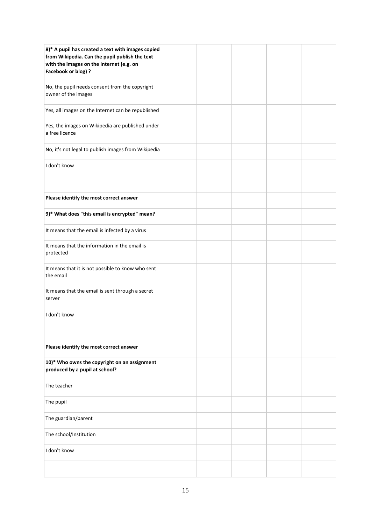| 8)* A pupil has created a text with images copied<br>from Wikipedia. Can the pupil publish the text<br>with the images on the Internet (e.g. on<br>Facebook or blog) ? |  |  |  |
|------------------------------------------------------------------------------------------------------------------------------------------------------------------------|--|--|--|
| No, the pupil needs consent from the copyright<br>owner of the images                                                                                                  |  |  |  |
| Yes, all images on the Internet can be republished                                                                                                                     |  |  |  |
| Yes, the images on Wikipedia are published under<br>a free licence                                                                                                     |  |  |  |
| No, it's not legal to publish images from Wikipedia                                                                                                                    |  |  |  |
| I don't know                                                                                                                                                           |  |  |  |
|                                                                                                                                                                        |  |  |  |
| Please identify the most correct answer                                                                                                                                |  |  |  |
| 9)* What does "this email is encrypted" mean?                                                                                                                          |  |  |  |
| It means that the email is infected by a virus                                                                                                                         |  |  |  |
| It means that the information in the email is<br>protected                                                                                                             |  |  |  |
| It means that it is not possible to know who sent<br>the email                                                                                                         |  |  |  |
| It means that the email is sent through a secret<br>server                                                                                                             |  |  |  |
| I don't know                                                                                                                                                           |  |  |  |
|                                                                                                                                                                        |  |  |  |
| Please identify the most correct answer                                                                                                                                |  |  |  |
| 10)* Who owns the copyright on an assignment<br>produced by a pupil at school?                                                                                         |  |  |  |
| The teacher                                                                                                                                                            |  |  |  |
| The pupil                                                                                                                                                              |  |  |  |
| The guardian/parent                                                                                                                                                    |  |  |  |
| The school/Institution                                                                                                                                                 |  |  |  |
| I don't know                                                                                                                                                           |  |  |  |
|                                                                                                                                                                        |  |  |  |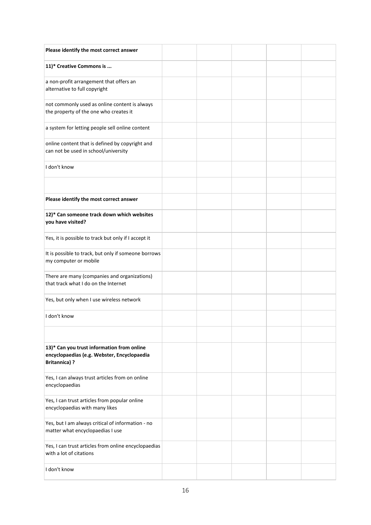| Please identify the most correct answer                                                                          |  |  |  |
|------------------------------------------------------------------------------------------------------------------|--|--|--|
| 11)* Creative Commons is                                                                                         |  |  |  |
| a non-profit arrangement that offers an<br>alternative to full copyright                                         |  |  |  |
| not commonly used as online content is always<br>the property of the one who creates it                          |  |  |  |
| a system for letting people sell online content                                                                  |  |  |  |
| online content that is defined by copyright and<br>can not be used in school/university                          |  |  |  |
| I don't know                                                                                                     |  |  |  |
|                                                                                                                  |  |  |  |
| Please identify the most correct answer                                                                          |  |  |  |
| 12)* Can someone track down which websites<br>you have visited?                                                  |  |  |  |
| Yes, it is possible to track but only if I accept it                                                             |  |  |  |
| It is possible to track, but only if someone borrows<br>my computer or mobile                                    |  |  |  |
| There are many (companies and organizations)<br>that track what I do on the Internet                             |  |  |  |
| Yes, but only when I use wireless network                                                                        |  |  |  |
| I don't know                                                                                                     |  |  |  |
|                                                                                                                  |  |  |  |
| 13)* Can you trust information from online<br>encyclopaedias (e.g. Webster, Encyclopaedia<br><b>Britannica)?</b> |  |  |  |
| Yes, I can always trust articles from on online<br>encyclopaedias                                                |  |  |  |
| Yes, I can trust articles from popular online<br>encyclopaedias with many likes                                  |  |  |  |
| Yes, but I am always critical of information - no<br>matter what encyclopaedias I use                            |  |  |  |
| Yes, I can trust articles from online encyclopaedias<br>with a lot of citations                                  |  |  |  |
| I don't know                                                                                                     |  |  |  |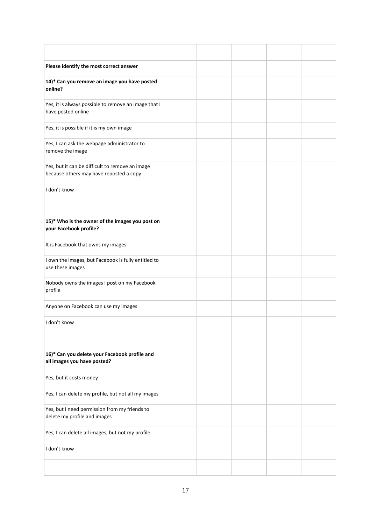| Please identify the most correct answer                                                    |  |  |  |
|--------------------------------------------------------------------------------------------|--|--|--|
| 14)* Can you remove an image you have posted<br>online?                                    |  |  |  |
| Yes, it is always possible to remove an image that I<br>have posted online                 |  |  |  |
| Yes, it is possible if it is my own image                                                  |  |  |  |
| Yes, I can ask the webpage administrator to<br>remove the image                            |  |  |  |
| Yes, but it can be difficult to remove an image<br>because others may have reposted a copy |  |  |  |
| I don't know                                                                               |  |  |  |
|                                                                                            |  |  |  |
| 15)* Who is the owner of the images you post on<br>your Facebook profile?                  |  |  |  |
| It is Facebook that owns my images                                                         |  |  |  |
| I own the images, but Facebook is fully entitled to<br>use these images                    |  |  |  |
| Nobody owns the images I post on my Facebook<br>profile                                    |  |  |  |
| Anyone on Facebook can use my images                                                       |  |  |  |
| I don't know                                                                               |  |  |  |
|                                                                                            |  |  |  |
| 16)* Can you delete your Facebook profile and<br>all images you have posted?               |  |  |  |
| Yes, but it costs money                                                                    |  |  |  |
| Yes, I can delete my profile, but not all my images                                        |  |  |  |
| Yes, but I need permission from my friends to<br>delete my profile and images              |  |  |  |
| Yes, I can delete all images, but not my profile                                           |  |  |  |
| I don't know                                                                               |  |  |  |
|                                                                                            |  |  |  |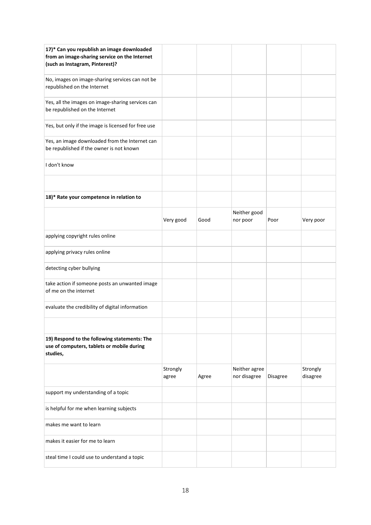| 17)* Can you republish an image downloaded<br>from an image-sharing service on the Internet<br>(such as Instagram, Pinterest)? |                   |       |                               |          |                      |
|--------------------------------------------------------------------------------------------------------------------------------|-------------------|-------|-------------------------------|----------|----------------------|
| No, images on image-sharing services can not be<br>republished on the Internet                                                 |                   |       |                               |          |                      |
| Yes, all the images on image-sharing services can<br>be republished on the Internet                                            |                   |       |                               |          |                      |
| Yes, but only if the image is licensed for free use                                                                            |                   |       |                               |          |                      |
| Yes, an image downloaded from the Internet can<br>be republished if the owner is not known                                     |                   |       |                               |          |                      |
| I don't know                                                                                                                   |                   |       |                               |          |                      |
|                                                                                                                                |                   |       |                               |          |                      |
| 18)* Rate your competence in relation to                                                                                       |                   |       |                               |          |                      |
|                                                                                                                                | Very good         | Good  | Neither good<br>nor poor      | Poor     | Very poor            |
| applying copyright rules online                                                                                                |                   |       |                               |          |                      |
| applying privacy rules online                                                                                                  |                   |       |                               |          |                      |
| detecting cyber bullying                                                                                                       |                   |       |                               |          |                      |
| take action if someone posts an unwanted image<br>of me on the internet                                                        |                   |       |                               |          |                      |
| evaluate the credibility of digital information                                                                                |                   |       |                               |          |                      |
|                                                                                                                                |                   |       |                               |          |                      |
| 19) Respond to the following statements: The<br>use of computers, tablets or mobile during<br>studies,                         |                   |       |                               |          |                      |
|                                                                                                                                | Strongly<br>agree | Agree | Neither agree<br>nor disagree | Disagree | Strongly<br>disagree |
| support my understanding of a topic                                                                                            |                   |       |                               |          |                      |
| is helpful for me when learning subjects                                                                                       |                   |       |                               |          |                      |
| makes me want to learn                                                                                                         |                   |       |                               |          |                      |
| makes it easier for me to learn                                                                                                |                   |       |                               |          |                      |
| steal time I could use to understand a topic                                                                                   |                   |       |                               |          |                      |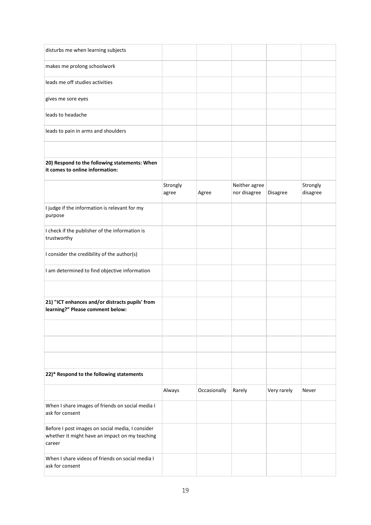| disturbs me when learning subjects                                                                           |                   |              |                               |             |                      |
|--------------------------------------------------------------------------------------------------------------|-------------------|--------------|-------------------------------|-------------|----------------------|
| makes me prolong schoolwork                                                                                  |                   |              |                               |             |                      |
| leads me off studies activities                                                                              |                   |              |                               |             |                      |
| gives me sore eyes                                                                                           |                   |              |                               |             |                      |
| leads to headache                                                                                            |                   |              |                               |             |                      |
| leads to pain in arms and shoulders                                                                          |                   |              |                               |             |                      |
|                                                                                                              |                   |              |                               |             |                      |
| 20) Respond to the following statements: When<br>it comes to online information:                             |                   |              |                               |             |                      |
|                                                                                                              | Strongly<br>agree | Agree        | Neither agree<br>nor disagree | Disagree    | Strongly<br>disagree |
| I judge if the information is relevant for my<br>purpose                                                     |                   |              |                               |             |                      |
| I check if the publisher of the information is<br>trustworthy                                                |                   |              |                               |             |                      |
| I consider the credibility of the author(s)                                                                  |                   |              |                               |             |                      |
| I am determined to find objective information                                                                |                   |              |                               |             |                      |
|                                                                                                              |                   |              |                               |             |                      |
| 21) "ICT enhances and/or distracts pupils' from<br>learning?" Please comment below:                          |                   |              |                               |             |                      |
|                                                                                                              |                   |              |                               |             |                      |
|                                                                                                              |                   |              |                               |             |                      |
|                                                                                                              |                   |              |                               |             |                      |
| 22)* Respond to the following statements                                                                     |                   |              |                               |             |                      |
|                                                                                                              | Always            | Occasionally | Rarely                        | Very rarely | Never                |
| When I share images of friends on social media I<br>ask for consent                                          |                   |              |                               |             |                      |
| Before I post images on social media, I consider<br>whether it might have an impact on my teaching<br>career |                   |              |                               |             |                      |
| When I share videos of friends on social media I<br>ask for consent                                          |                   |              |                               |             |                      |